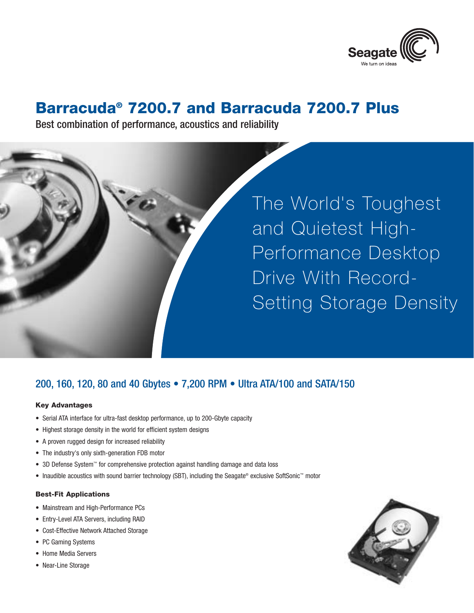

# **Barracuda® 7200.7 and Barracuda 7200.7 Plus**

Best combination of performance, acoustics and reliability



The World's Toughest and Quietest High-Performance Desktop Drive With Record-Setting Storage Density

# 200, 160, 120, 80 and 40 Gbytes • 7,200 RPM • Ultra ATA/100 and SATA/150

# **Key Advantages**

- Serial ATA interface for ultra-fast desktop performance, up to 200-Gbyte capacity
- Highest storage density in the world for efficient system designs
- A proven rugged design for increased reliability
- The industry's only sixth-generation FDB motor
- 3D Defense System™ for comprehensive protection against handling damage and data loss
- Inaudible acoustics with sound barrier technology (SBT), including the Seagate® exclusive SoftSonic™ motor

#### **Best-Fit Applications**

- Mainstream and High-Performance PCs
- Entry-Level ATA Servers, including RAID
- Cost-Effective Network Attached Storage
- PC Gaming Systems
- Home Media Servers
- Near-Line Storage